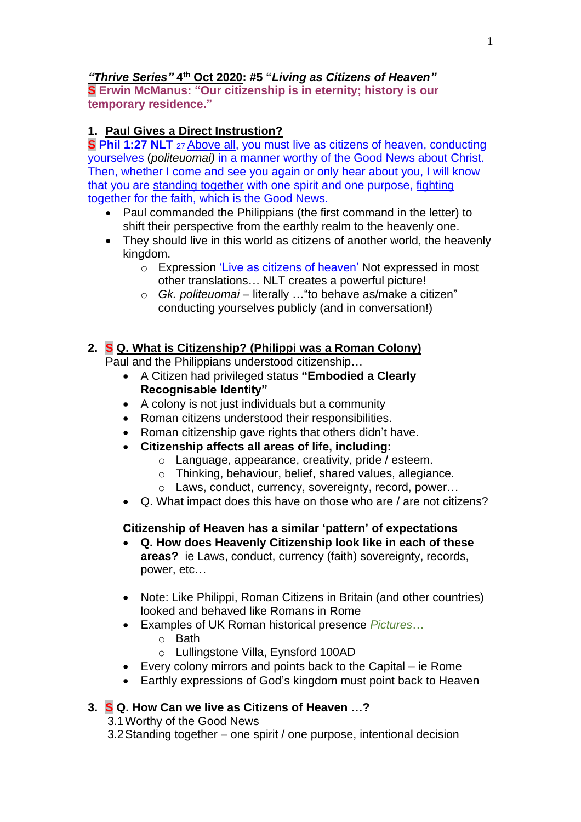## *"Thrive Series"* **4 th Oct 2020: #5 "***Living as Citizens of Heaven"*

**S Erwin McManus: "Our citizenship is in eternity; history is our temporary residence."**

# **1. Paul Gives a Direct Instrustion?**

**S Phil 1:27 NLT** <sup>27</sup> Above all, you must live as citizens of heaven, conducting yourselves (*politeuomai)* in a manner worthy of the Good News about Christ. Then, whether I come and see you again or only hear about you, I will know that you are standing together with one spirit and one purpose, fighting together for the faith, which is the Good News.

- Paul commanded the Philippians (the first command in the letter) to shift their perspective from the earthly realm to the heavenly one.
- They should live in this world as citizens of another world, the heavenly kingdom.
	- o Expression 'Live as citizens of heaven' Not expressed in most other translations… NLT creates a powerful picture!
	- o *Gk. politeuomai* literally …"to behave as/make a citizen" conducting yourselves publicly (and in conversation!)

### **2. S Q. What is Citizenship? (Philippi was a Roman Colony)**

Paul and the Philippians understood citizenship…

- A Citizen had privileged status **"Embodied a Clearly Recognisable Identity"**
- A colony is not just individuals but a community
- Roman citizens understood their responsibilities.
- Roman citizenship gave rights that others didn't have.
- **Citizenship affects all areas of life, including:**
	- o Language, appearance, creativity, pride / esteem.
	- o Thinking, behaviour, belief, shared values, allegiance.
	- o Laws, conduct, currency, sovereignty, record, power…
- Q. What impact does this have on those who are / are not citizens?

### **Citizenship of Heaven has a similar 'pattern' of expectations**

- **Q. How does Heavenly Citizenship look like in each of these areas?** ie Laws, conduct, currency (faith) sovereignty, records, power, etc…
- Note: Like Philippi, Roman Citizens in Britain (and other countries) looked and behaved like Romans in Rome
- Examples of UK Roman historical presence *Pictures*…
	- o Bath
	- o Lullingstone Villa, Eynsford 100AD
- Every colony mirrors and points back to the Capital ie Rome
- Earthly expressions of God's kingdom must point back to Heaven

## **3. S Q. How Can we live as Citizens of Heaven …?**

3.1Worthy of the Good News

3.2Standing together – one spirit / one purpose, intentional decision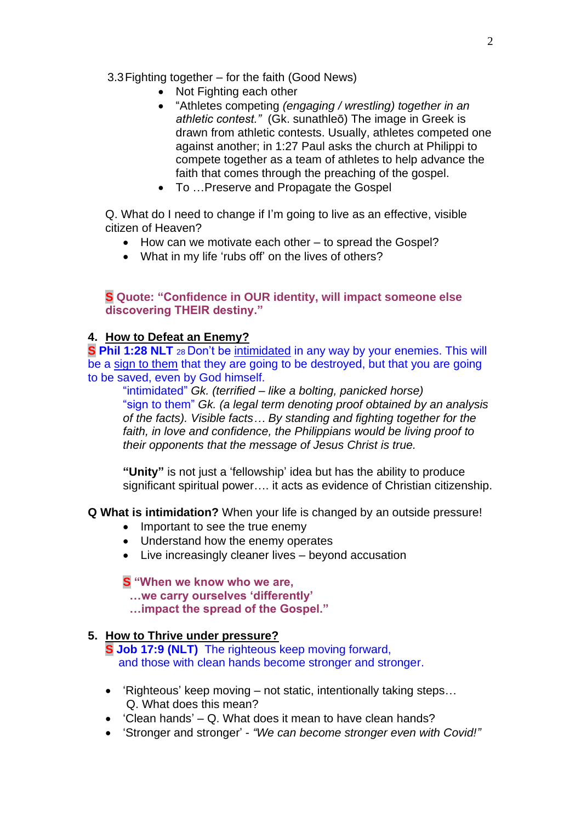#### 3.3Fighting together – for the faith (Good News)

- Not Fighting each other
- "Athletes competing *(engaging / wrestling) together in an athletic contest."* (Gk. sunathleō) The image in Greek is drawn from athletic contests. Usually, athletes competed one against another; in 1:27 Paul asks the church at Philippi to compete together as a team of athletes to help advance the faith that comes through the preaching of the gospel.
- To …Preserve and Propagate the Gospel

Q. What do I need to change if I'm going to live as an effective, visible citizen of Heaven?

- How can we motivate each other to spread the Gospel?
- What in my life 'rubs off' on the lives of others?

#### **S Quote: "Confidence in OUR identity, will impact someone else discovering THEIR destiny."**

### **4. How to Defeat an Enemy?**

**S Phil 1:28 NLT** <sup>28</sup> Don't be intimidated in any way by your enemies. This will be a sign to them that they are going to be destroyed, but that you are going to be saved, even by God himself.

"intimidated" *Gk. (terrified – like a bolting, panicked horse)* "sign to them" *Gk. (a legal term denoting proof obtained by an analysis of the facts). Visible facts… By standing and fighting together for the faith, in love and confidence, the Philippians would be living proof to their opponents that the message of Jesus Christ is true.*

**"Unity"** is not just a 'fellowship' idea but has the ability to produce significant spiritual power…. it acts as evidence of Christian citizenship.

**Q What is intimidation?** When your life is changed by an outside pressure!

- Important to see the true enemy
- Understand how the enemy operates
- Live increasingly cleaner lives beyond accusation

### **S "When we know who we are,**

 **…we carry ourselves 'differently'**

 **…impact the spread of the Gospel."**

### **5. How to Thrive under pressure?**

**S Job 17:9 (NLT)** The righteous keep moving forward, and those with clean hands become stronger and stronger.

- 'Righteous' keep moving not static, intentionally taking steps… Q. What does this mean?
- 'Clean hands' Q. What does it mean to have clean hands?
- 'Stronger and stronger' *"We can become stronger even with Covid!"*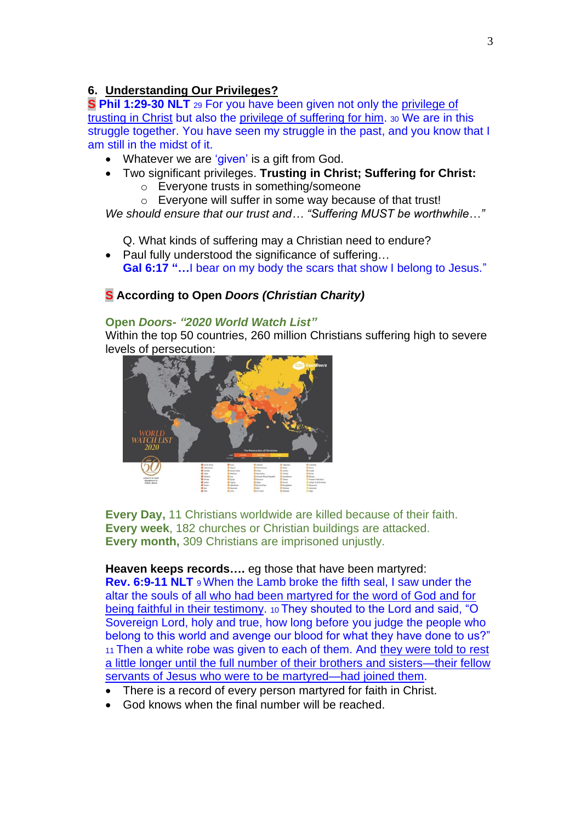### **6. Understanding Our Privileges?**

**S Phil 1:29-30 NLT** <sup>29</sup> For you have been given not only the privilege of trusting in Christ but also the privilege of suffering for him. <sup>30</sup> We are in this struggle together. You have seen my struggle in the past, and you know that I am still in the midst of it.

- Whatever we are 'given' is a gift from God.
- Two significant privileges. **Trusting in Christ; Suffering for Christ:**
	- o Everyone trusts in something/someone
	- o Everyone will suffer in some way because of that trust!

*We should ensure that our trust and… "Suffering MUST be worthwhile…"*

Q. What kinds of suffering may a Christian need to endure?

• Paul fully understood the significance of suffering… **Gal 6:17 "…**I bear on my body the scars that show I belong to Jesus."

# **S According to Open** *Doors (Christian Charity)*

#### **Open** *Doors- "2020 World Watch List"*

Within the top 50 countries, 260 million Christians suffering high to severe levels of persecution:



**Every Day,** 11 Christians worldwide are killed because of their faith. **Every week**, 182 churches or Christian buildings are attacked. **Every month,** 309 Christians are imprisoned unjustly.

**Heaven keeps records….** eg those that have been martyred:

**Rev. 6:9-11 NLT** <sup>9</sup> When the Lamb broke the fifth seal, I saw under the altar the souls of all who had been martyred for the word of God and for being faithful in their testimony. 10 They shouted to the Lord and said, "O Sovereign Lord, holy and true, how long before you judge the people who belong to this world and avenge our blood for what they have done to us?" <sup>11</sup> Then a white robe was given to each of them. And they were told to rest a little longer until the full number of their brothers and sisters—their fellow servants of Jesus who were to be martyred—had joined them.

- There is a record of every person martyred for faith in Christ.
- God knows when the final number will be reached.